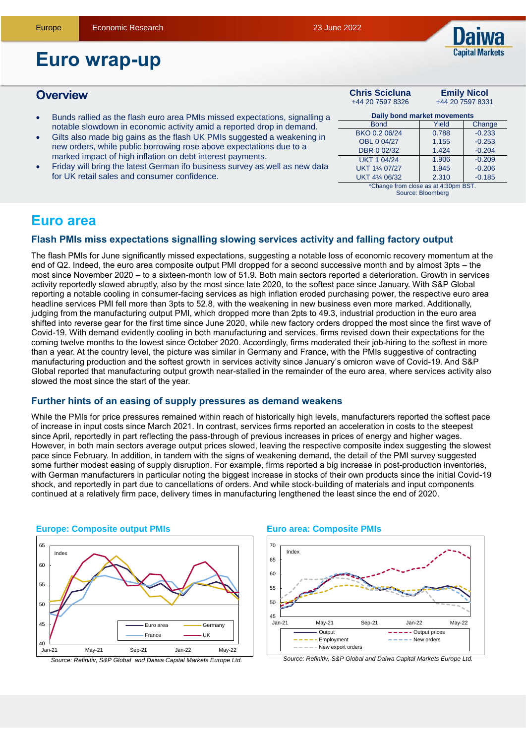

# **Euro wrap-up**

#### **Overview Chris Scicluna** +44 20 7597 8326 **Emily Nicol** +44 20 7597 8331 Bunds rallied as the flash euro area PMIs missed expectations, signalling a notable slowdown in economic activity amid a reported drop in demand. Gilts also made big gains as the flash UK PMIs suggested a weakening in new orders, while public borrowing rose above expectations due to a marked impact of high inflation on debt interest payments. Friday will bring the latest German ifo business survey as well as new data for UK retail sales and consumer confidence. **Daily bond market movements** Bond **Yield** Change  $RKO 0.2 06/24$  0.788 -0.233 OBL 0 04/27 1.155 -0.253 DBR 0 02/32 1.424 -0.204  $UKT 1 04/24 1.906 -0.209$ UKT 11/4 07/27 1.945 -0.206  $UKT 4\frac{1}{4} 06/32$  2.310 -0.185 \*Change from close as at 4:30pm BS<sup>+</sup> Source: Bloomberg

# **Euro area**

### **Flash PMIs miss expectations signalling slowing services activity and falling factory output**

The flash PMIs for June significantly missed expectations, suggesting a notable loss of economic recovery momentum at the end of Q2. Indeed, the euro area composite output PMI dropped for a second successive month and by almost 3pts – the most since November 2020 – to a sixteen-month low of 51.9. Both main sectors reported a deterioration. Growth in services activity reportedly slowed abruptly, also by the most since late 2020, to the softest pace since January. With S&P Global reporting a notable cooling in consumer-facing services as high inflation eroded purchasing power, the respective euro area headline services PMI fell more than 3pts to 52.8, with the weakening in new business even more marked. Additionally, judging from the manufacturing output PMI, which dropped more than 2pts to 49.3, industrial production in the euro area shifted into reverse gear for the first time since June 2020, while new factory orders dropped the most since the first wave of Covid-19. With demand evidently cooling in both manufacturing and services, firms revised down their expectations for the coming twelve months to the lowest since October 2020. Accordingly, firms moderated their job-hiring to the softest in more than a year. At the country level, the picture was similar in Germany and France, with the PMIs suggestive of contracting manufacturing production and the softest growth in services activity since January's omicron wave of Covid-19. And S&P Global reported that manufacturing output growth near-stalled in the remainder of the euro area, where services activity also slowed the most since the start of the year.

### **Further hints of an easing of supply pressures as demand weakens**

While the PMIs for price pressures remained within reach of historically high levels, manufacturers reported the softest pace of increase in input costs since March 2021. In contrast, services firms reported an acceleration in costs to the steepest since April, reportedly in part reflecting the pass-through of previous increases in prices of energy and higher wages. However, in both main sectors average output prices slowed, leaving the respective composite index suggesting the slowest pace since February. In addition, in tandem with the signs of weakening demand, the detail of the PMI survey suggested some further modest easing of supply disruption. For example, firms reported a big increase in post-production inventories, with German manufacturers in particular noting the biggest increase in stocks of their own products since the initial Covid-19 shock, and reportedly in part due to cancellations of orders. And while stock-building of materials and input components continued at a relatively firm pace, delivery times in manufacturing lengthened the least since the end of 2020.



#### **Europe: Composite output PMIs**

#### **Euro area: Composite PMIs**



*Source: Refinitiv, S&P Global and Daiwa Capital Markets Europe Ltd.*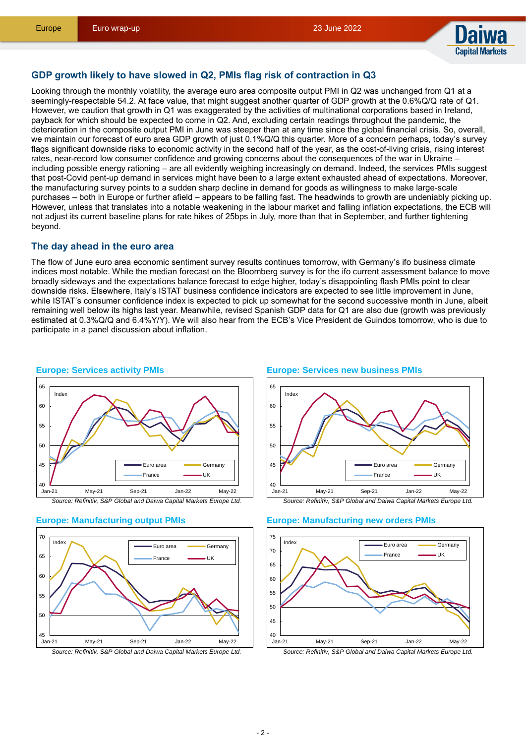

#### **GDP growth likely to have slowed in Q2, PMIs flag risk of contraction in Q3**

Looking through the monthly volatility, the average euro area composite output PMI in Q2 was unchanged from Q1 at a seemingly-respectable 54.2. At face value, that might suggest another quarter of GDP growth at the 0.6%Q/Q rate of Q1. However, we caution that growth in Q1 was exaggerated by the activities of multinational corporations based in Ireland, payback for which should be expected to come in Q2. And, excluding certain readings throughout the pandemic, the deterioration in the composite output PMI in June was steeper than at any time since the global financial crisis. So, overall, we maintain our forecast of euro area GDP growth of just 0.1%Q/Q this quarter. More of a concern perhaps, today's survey flags significant downside risks to economic activity in the second half of the year, as the cost-of-living crisis, rising interest rates, near-record low consumer confidence and growing concerns about the consequences of the war in Ukraine – including possible energy rationing – are all evidently weighing increasingly on demand. Indeed, the services PMIs suggest that post-Covid pent-up demand in services might have been to a large extent exhausted ahead of expectations. Moreover, the manufacturing survey points to a sudden sharp decline in demand for goods as willingness to make large-scale purchases – both in Europe or further afield – appears to be falling fast. The headwinds to growth are undeniably picking up. However, unless that translates into a notable weakening in the labour market and falling inflation expectations, the ECB will not adjust its current baseline plans for rate hikes of 25bps in July, more than that in September, and further tightening beyond.

#### **The day ahead in the euro area**

The flow of June euro area economic sentiment survey results continues tomorrow, with Germany's ifo business climate indices most notable. While the median forecast on the Bloomberg survey is for the ifo current assessment balance to move broadly sideways and the expectations balance forecast to edge higher, today's disappointing flash PMIs point to clear downside risks. Elsewhere, Italy's ISTAT business confidence indicators are expected to see little improvement in June, while ISTAT's consumer confidence index is expected to pick up somewhat for the second successive month in June, albeit remaining well below its highs last year. Meanwhile, revised Spanish GDP data for Q1 are also due (growth was previously estimated at 0.3%Q/Q and 6.4%Y/Y). We will also hear from the ECB's Vice President de Guindos tomorrow, who is due to participate in a panel discussion about inflation.









#### **Europe: Services new business PMIs**



#### **Europe: Manufacturing new orders PMIs**

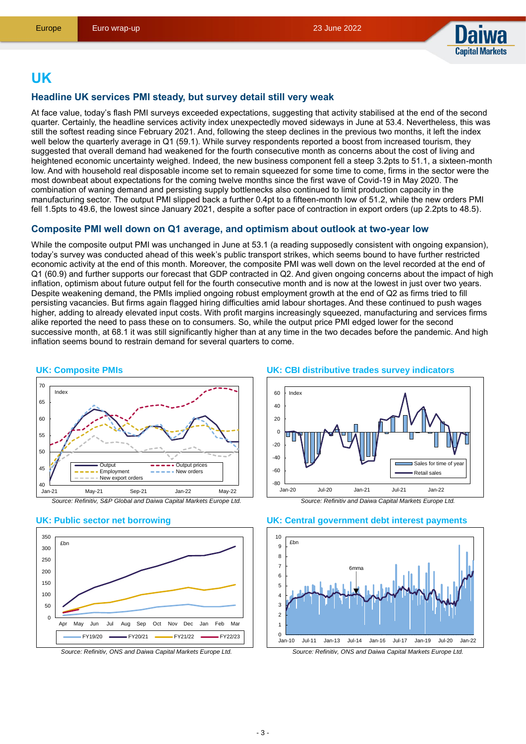

# **UK**

### **Headline UK services PMI steady, but survey detail still very weak**

At face value, today's flash PMI surveys exceeded expectations, suggesting that activity stabilised at the end of the second quarter. Certainly, the headline services activity index unexpectedly moved sideways in June at 53.4. Nevertheless, this was still the softest reading since February 2021. And, following the steep declines in the previous two months, it left the index well below the quarterly average in Q1 (59.1). While survey respondents reported a boost from increased tourism, they suggested that overall demand had weakened for the fourth consecutive month as concerns about the cost of living and heightened economic uncertainty weighed. Indeed, the new business component fell a steep 3.2pts to 51.1, a sixteen-month low. And with household real disposable income set to remain squeezed for some time to come, firms in the sector were the most downbeat about expectations for the coming twelve months since the first wave of Covid-19 in May 2020. The combination of waning demand and persisting supply bottlenecks also continued to limit production capacity in the manufacturing sector. The output PMI slipped back a further 0.4pt to a fifteen-month low of 51.2, while the new orders PMI fell 1.5pts to 49.6, the lowest since January 2021, despite a softer pace of contraction in export orders (up 2.2pts to 48.5).

### **Composite PMI well down on Q1 average, and optimism about outlook at two-year low**

While the composite output PMI was unchanged in June at 53.1 (a reading supposedly consistent with ongoing expansion), today's survey was conducted ahead of this week's public transport strikes, which seems bound to have further restricted economic activity at the end of this month. Moreover, the composite PMI was well down on the level recorded at the end of Q1 (60.9) and further supports our forecast that GDP contracted in Q2. And given ongoing concerns about the impact of high inflation, optimism about future output fell for the fourth consecutive month and is now at the lowest in just over two years. Despite weakening demand, the PMIs implied ongoing robust employment growth at the end of Q2 as firms tried to fill persisting vacancies. But firms again flagged hiring difficulties amid labour shortages. And these continued to push wages higher, adding to already elevated input costs. With profit margins increasingly squeezed, manufacturing and services firms alike reported the need to pass these on to consumers. So, while the output price PMI edged lower for the second successive month, at 68.1 it was still significantly higher than at any time in the two decades before the pandemic. And high inflation seems bound to restrain demand for several quarters to come.









#### **UK: CBI distributive trades survey indicators**





#### **UK: Central government debt interest payments**

*Source: Refinitiv, ONS and Daiwa Capital Markets Europe Ltd.*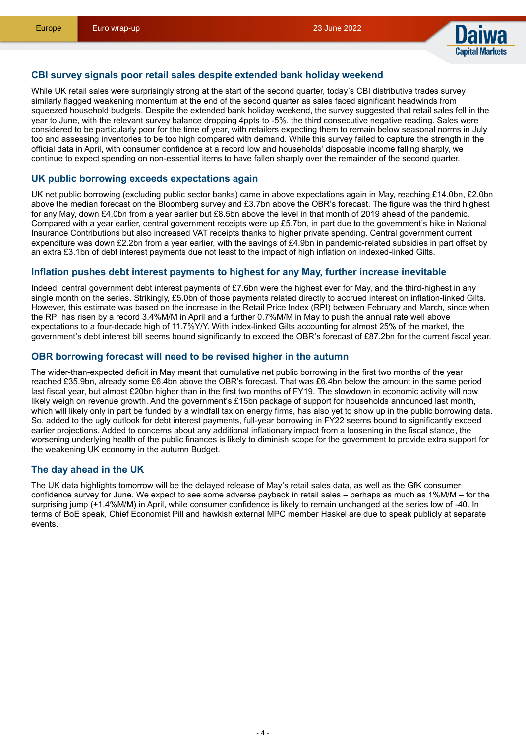

#### **CBI survey signals poor retail sales despite extended bank holiday weekend**

While UK retail sales were surprisingly strong at the start of the second quarter, today's CBI distributive trades survey similarly flagged weakening momentum at the end of the second quarter as sales faced significant headwinds from squeezed household budgets. Despite the extended bank holiday weekend, the survey suggested that retail sales fell in the year to June, with the relevant survey balance dropping 4ppts to -5%, the third consecutive negative reading. Sales were considered to be particularly poor for the time of year, with retailers expecting them to remain below seasonal norms in July too and assessing inventories to be too high compared with demand. While this survey failed to capture the strength in the official data in April, with consumer confidence at a record low and households' disposable income falling sharply, we continue to expect spending on non-essential items to have fallen sharply over the remainder of the second quarter.

### **UK public borrowing exceeds expectations again**

UK net public borrowing (excluding public sector banks) came in above expectations again in May, reaching £14.0bn, £2.0bn above the median forecast on the Bloomberg survey and £3.7bn above the OBR's forecast. The figure was the third highest for any May, down £4.0bn from a year earlier but £8.5bn above the level in that month of 2019 ahead of the pandemic. Compared with a year earlier, central government receipts were up £5.7bn, in part due to the government's hike in National Insurance Contributions but also increased VAT receipts thanks to higher private spending. Central government current expenditure was down £2.2bn from a year earlier, with the savings of £4.9bn in pandemic-related subsidies in part offset by an extra £3.1bn of debt interest payments due not least to the impact of high inflation on indexed-linked Gilts.

#### **Inflation pushes debt interest payments to highest for any May, further increase inevitable**

Indeed, central government debt interest payments of £7.6bn were the highest ever for May, and the third-highest in any single month on the series. Strikingly, £5.0bn of those payments related directly to accrued interest on inflation-linked Gilts. However, this estimate was based on the increase in the Retail Price Index (RPI) between February and March, since when the RPI has risen by a record 3.4%M/M in April and a further 0.7%M/M in May to push the annual rate well above expectations to a four-decade high of 11.7%Y/Y. With index-linked Gilts accounting for almost 25% of the market, the government's debt interest bill seems bound significantly to exceed the OBR's forecast of £87.2bn for the current fiscal year.

#### **OBR borrowing forecast will need to be revised higher in the autumn**

The wider-than-expected deficit in May meant that cumulative net public borrowing in the first two months of the year reached £35.9bn, already some £6.4bn above the OBR's forecast. That was £6.4bn below the amount in the same period last fiscal year, but almost £20bn higher than in the first two months of FY19. The slowdown in economic activity will now likely weigh on revenue growth. And the government's £15bn package of support for households announced last month, which will likely only in part be funded by a windfall tax on energy firms, has also yet to show up in the public borrowing data. So, added to the ugly outlook for debt interest payments, full-year borrowing in FY22 seems bound to significantly exceed earlier projections. Added to concerns about any additional inflationary impact from a loosening in the fiscal stance, the worsening underlying health of the public finances is likely to diminish scope for the government to provide extra support for the weakening UK economy in the autumn Budget.

#### **The day ahead in the UK**

The UK data highlights tomorrow will be the delayed release of May's retail sales data, as well as the GfK consumer confidence survey for June. We expect to see some adverse payback in retail sales – perhaps as much as 1%M/M – for the surprising jump (+1.4%M/M) in April, while consumer confidence is likely to remain unchanged at the series low of -40. In terms of BoE speak, Chief Economist Pill and hawkish external MPC member Haskel are due to speak publicly at separate events.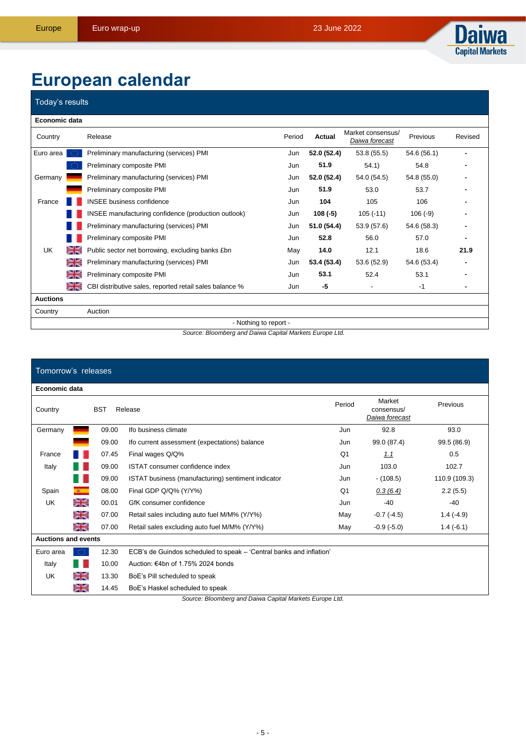

# **European calendar**

## Today's results

| Economic data        |           |                                                         |        |             |                                     |             |         |
|----------------------|-----------|---------------------------------------------------------|--------|-------------|-------------------------------------|-------------|---------|
| Country              |           | Release                                                 | Period | Actual      | Market consensus/<br>Daiwa forecast | Previous    | Revised |
| Euro area            |           | Preliminary manufacturing (services) PMI                | Jun    | 52.0 (52.4) | 53.8 (55.5)                         | 54.6 (56.1) |         |
|                      |           | Preliminary composite PMI                               | Jun    | 51.9        | 54.1)                               | 54.8        |         |
| Germany              |           | Preliminary manufacturing (services) PMI                | Jun    | 52.0 (52.4) | 54.0 (54.5)                         | 54.8 (55.0) |         |
|                      |           | Preliminary composite PMI                               | Jun    | 51.9        | 53.0                                | 53.7        |         |
| France               |           | <b>INSEE</b> business confidence                        | Jun    | 104         | 105                                 | 106         |         |
|                      |           | INSEE manufacturing confidence (production outlook)     | Jun    | $108(-5)$   | $105(-11)$                          | $106(-9)$   |         |
|                      |           | Preliminary manufacturing (services) PMI                | Jun    | 51.0 (54.4) | 53.9 (57.6)                         | 54.6 (58.3) |         |
|                      |           | Preliminary composite PMI                               | Jun    | 52.8        | 56.0                                | 57.0        |         |
| UK                   | <b>SK</b> | Public sector net borrowing, excluding banks £bn        | May    | 14.0        | 12.1                                | 18.6        | 21.9    |
|                      | a≍.       | Preliminary manufacturing (services) PMI                | Jun    | 53.4 (53.4) | 53.6 (52.9)                         | 54.6 (53.4) |         |
|                      | as a      | Preliminary composite PMI                               | Jun    | 53.1        | 52.4                                | 53.1        |         |
|                      | <b>SK</b> | CBI distributive sales, reported retail sales balance % | Jun    | -5          |                                     | $-1$        |         |
| <b>Auctions</b>      |           |                                                         |        |             |                                     |             |         |
| Country              |           | Auction                                                 |        |             |                                     |             |         |
| National to some ast |           |                                                         |        |             |                                     |             |         |

- Nothing to report -

*Source: Bloomberg and Daiwa Capital Markets Europe Ltd.*

#### Tomorrow's releases **Economic data** Period Market Previous Country BST Release consensus/ *Daiwa forecast* Germany 09.00 Ifo business climate Jun 92.8 93.0 09.00 Ifo current assessment (expectations) balance Jun 99.0 (87.4) 99.5 (86.9) France **08** 07.45 Final wages Q/Q% 0.5 Italy **109.00 ISTAT consumer confidence index** 300 102.7 Jun 103.0 102.7 09.00 ISTAT business (manufacturing) sentiment indicator Jun - (108.5) 110.9 (109.3) Spain **COVID COVID COVID COVID COVID COVID COVID COVID COVID COVID COVID COVID COVID COVID COVID COVID COVID COVID** COVID COVID COVID COVID COVID COVID COVID COVID COVID COVID COVID COVID COVID COVID COVID COVID COVID COVI UK 2 00.01 GfK consumer confidence and the state of the state of the state of the state of the state of the state of the state of the state of the state of the state of the state of the state of the state of the state of t ≍≍ 07.00 Retail sales including auto fuel M/M% (Y/Y%) May -0.7 (-4.5) 1.4 (-4.9) 07.00 Retail sales excluding auto fuel M/M% (Y/Y%) May -0.9 (-5.0) 1.4 (-6.1) 이용 **Auctions and events** Euro area 10.30 ECB's de Guindos scheduled to speak – 'Central banks and inflation' Italy 10.00 Auction: €4bn of 1.75% 2024 bonds UK 13.30 BoE's Pill scheduled to speak ≧'≂ 14.45 BoE's Haskel scheduled to speak

*Source: Bloomberg and Daiwa Capital Markets Europe Ltd.*